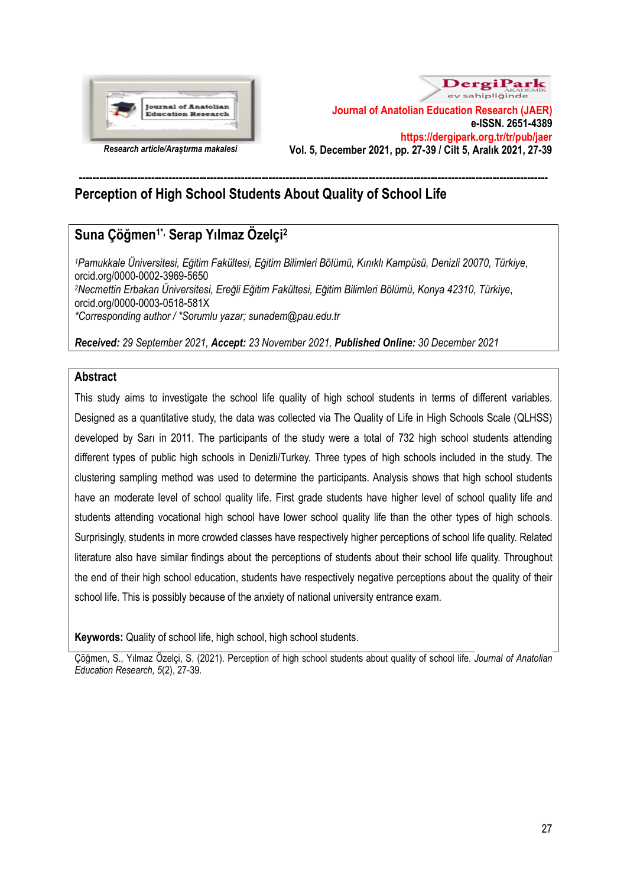



# ---------------------------------------------------------------------------------------------------------------------------------------- Perception of High School Students About Quality of School Life

# Suna Çöğmen1\*, Serap Yılmaz Özelçi<sup>2</sup>

<sup>1</sup>Pamukkale Üniversitesi, Eğitim Fakültesi, Eğitim Bilimleri Bölümü, Kınıklı Kampüsü, Denizli 20070, Türkiye, orcid.org/0000-0002-3969-5650 <sup>2</sup>Necmettin Erbakan Üniversitesi, Ereğli Eğitim Fakültesi, Eğitim Bilimleri Bölümü, Konya 42310, Türkiye, orcid.org/0000-0003-0518-581X \*Corresponding author / \*Sorumlu yazar; sunadem@pau.edu.tr

Received: 29 September 2021, Accept: 23 November 2021, Published Online: 30 December 2021

# Abstract

This study aims to investigate the school life quality of high school students in terms of different variables. Designed as a quantitative study, the data was collected via The Quality of Life in High Schools Scale (QLHSS) developed by Sarı in 2011. The participants of the study were a total of 732 high school students attending different types of public high schools in Denizli/Turkey. Three types of high schools included in the study. The clustering sampling method was used to determine the participants. Analysis shows that high school students have an moderate level of school quality life. First grade students have higher level of school quality life and students attending vocational high school have lower school quality life than the other types of high schools. Surprisingly, students in more crowded classes have respectively higher perceptions of school life quality. Related literature also have similar findings about the perceptions of students about their school life quality. Throughout the end of their high school education, students have respectively negative perceptions about the quality of their school life. This is possibly because of the anxiety of national university entrance exam.

Keywords: Quality of school life, high school, high school students.

Çöğmen, S., Yılmaz Özelçi, S. (2021). Perception of high school students about quality of school life. Journal of Anatolian Education Research, 5(2), 27-39.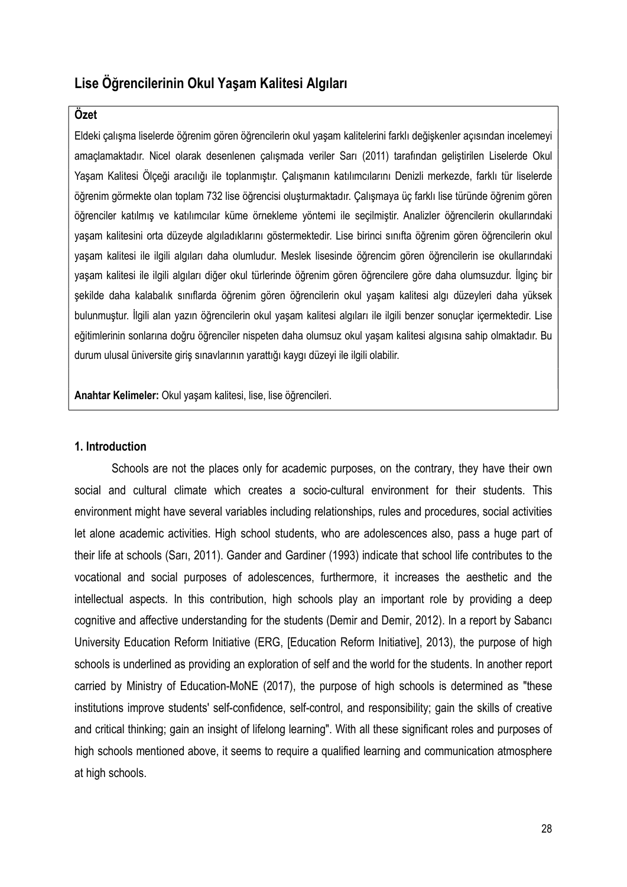# Lise Öğrencilerinin Okul Yaşam Kalitesi Algıları

# Özet

Eldeki çalışma liselerde öğrenim gören öğrencilerin okul yaşam kalitelerini farklı değişkenler açısından incelemeyi amaçlamaktadır. Nicel olarak desenlenen çalışmada veriler Sarı (2011) tarafından geliştirilen Liselerde Okul Yaşam Kalitesi Ölçeği aracılığı ile toplanmıştır. Çalışmanın katılımcılarını Denizli merkezde, farklı tür liselerde öğrenim görmekte olan toplam 732 lise öğrencisi oluşturmaktadır. Çalışmaya üç farklı lise türünde öğrenim gören öğrenciler katılmış ve katılımcılar küme örnekleme yöntemi ile seçilmiştir. Analizler öğrencilerin okullarındaki yaşam kalitesini orta düzeyde algıladıklarını göstermektedir. Lise birinci sınıfta öğrenim gören öğrencilerin okul yaşam kalitesi ile ilgili algıları daha olumludur. Meslek lisesinde öğrencim gören öğrencilerin ise okullarındaki yaşam kalitesi ile ilgili algıları diğer okul türlerinde öğrenim gören öğrencilere göre daha olumsuzdur. İlginç bir şekilde daha kalabalık sınıflarda öğrenim gören öğrencilerin okul yaşam kalitesi algı düzeyleri daha yüksek bulunmuştur. İlgili alan yazın öğrencilerin okul yaşam kalitesi algıları ile ilgili benzer sonuçlar içermektedir. Lise eğitimlerinin sonlarına doğru öğrenciler nispeten daha olumsuz okul yaşam kalitesi algısına sahip olmaktadır. Bu durum ulusal üniversite giriş sınavlarının yarattığı kaygı düzeyi ile ilgili olabilir.

Anahtar Kelimeler: Okul yaşam kalitesi, lise, lise öğrencileri.

#### 1. Introduction

Schools are not the places only for academic purposes, on the contrary, they have their own social and cultural climate which creates a socio-cultural environment for their students. This environment might have several variables including relationships, rules and procedures, social activities let alone academic activities. High school students, who are adolescences also, pass a huge part of their life at schools (Sarı, 2011). Gander and Gardiner (1993) indicate that school life contributes to the vocational and social purposes of adolescences, furthermore, it increases the aesthetic and the intellectual aspects. In this contribution, high schools play an important role by providing a deep cognitive and affective understanding for the students (Demir and Demir, 2012). In a report by Sabancı University Education Reform Initiative (ERG, [Education Reform Initiative], 2013), the purpose of high schools is underlined as providing an exploration of self and the world for the students. In another report carried by Ministry of Education-MoNE (2017), the purpose of high schools is determined as "these institutions improve students' self-confidence, self-control, and responsibility; gain the skills of creative and critical thinking; gain an insight of lifelong learning". With all these significant roles and purposes of high schools mentioned above, it seems to require a qualified learning and communication atmosphere at high schools.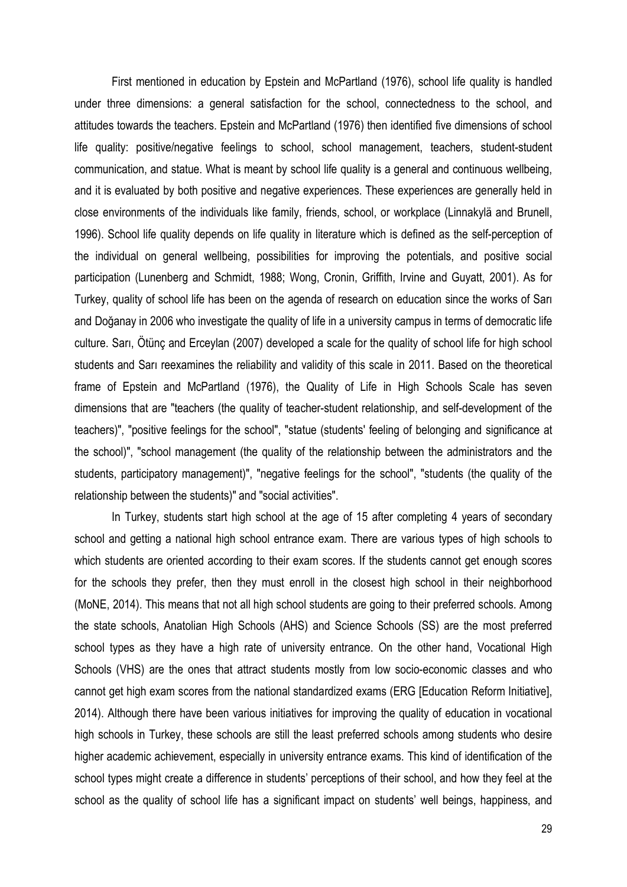First mentioned in education by Epstein and McPartland (1976), school life quality is handled under three dimensions: a general satisfaction for the school, connectedness to the school, and attitudes towards the teachers. Epstein and McPartland (1976) then identified five dimensions of school life quality: positive/negative feelings to school, school management, teachers, student-student communication, and statue. What is meant by school life quality is a general and continuous wellbeing, and it is evaluated by both positive and negative experiences. These experiences are generally held in close environments of the individuals like family, friends, school, or workplace (Linnakylä and Brunell, 1996). School life quality depends on life quality in literature which is defined as the self-perception of the individual on general wellbeing, possibilities for improving the potentials, and positive social participation (Lunenberg and Schmidt, 1988; Wong, Cronin, Griffith, Irvine and Guyatt, 2001). As for Turkey, quality of school life has been on the agenda of research on education since the works of Sarı and Doğanay in 2006 who investigate the quality of life in a university campus in terms of democratic life culture. Sarı, Ötünç and Erceylan (2007) developed a scale for the quality of school life for high school students and Sarı reexamines the reliability and validity of this scale in 2011. Based on the theoretical frame of Epstein and McPartland (1976), the Quality of Life in High Schools Scale has seven dimensions that are "teachers (the quality of teacher-student relationship, and self-development of the teachers)", "positive feelings for the school", "statue (students' feeling of belonging and significance at the school)", "school management (the quality of the relationship between the administrators and the students, participatory management)", "negative feelings for the school", "students (the quality of the relationship between the students)" and "social activities".

In Turkey, students start high school at the age of 15 after completing 4 years of secondary school and getting a national high school entrance exam. There are various types of high schools to which students are oriented according to their exam scores. If the students cannot get enough scores for the schools they prefer, then they must enroll in the closest high school in their neighborhood (MoNE, 2014). This means that not all high school students are going to their preferred schools. Among the state schools, Anatolian High Schools (AHS) and Science Schools (SS) are the most preferred school types as they have a high rate of university entrance. On the other hand, Vocational High Schools (VHS) are the ones that attract students mostly from low socio-economic classes and who cannot get high exam scores from the national standardized exams (ERG [Education Reform Initiative], 2014). Although there have been various initiatives for improving the quality of education in vocational high schools in Turkey, these schools are still the least preferred schools among students who desire higher academic achievement, especially in university entrance exams. This kind of identification of the school types might create a difference in students' perceptions of their school, and how they feel at the school as the quality of school life has a significant impact on students' well beings, happiness, and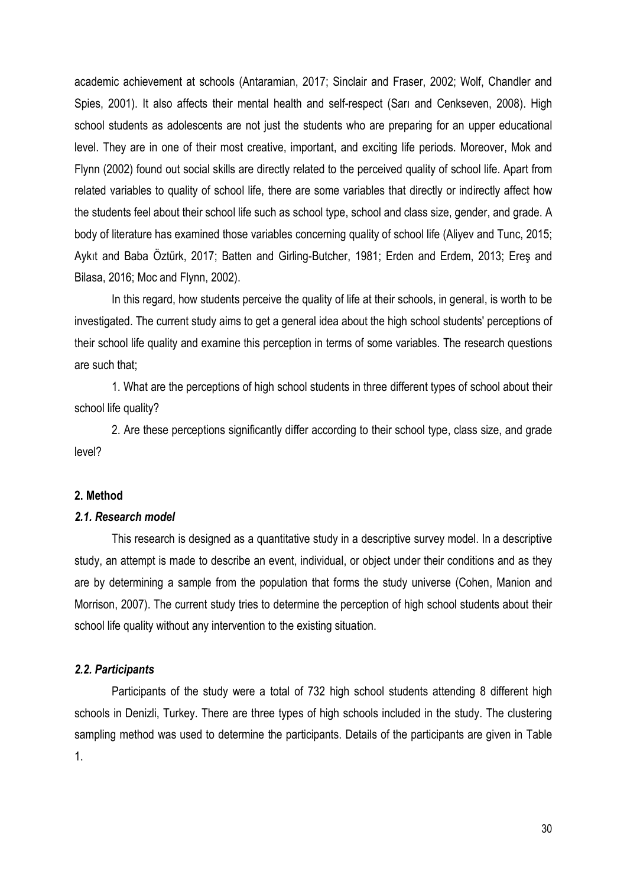academic achievement at schools (Antaramian, 2017; Sinclair and Fraser, 2002; Wolf, Chandler and Spies, 2001). It also affects their mental health and self-respect (Sarı and Cenkseven, 2008). High school students as adolescents are not just the students who are preparing for an upper educational level. They are in one of their most creative, important, and exciting life periods. Moreover, Mok and Flynn (2002) found out social skills are directly related to the perceived quality of school life. Apart from related variables to quality of school life, there are some variables that directly or indirectly affect how the students feel about their school life such as school type, school and class size, gender, and grade. A body of literature has examined those variables concerning quality of school life (Aliyev and Tunc, 2015; Aykıt and Baba Öztürk, 2017; Batten and Girling-Butcher, 1981; Erden and Erdem, 2013; Ereş and Bilasa, 2016; Moc and Flynn, 2002).

In this regard, how students perceive the quality of life at their schools, in general, is worth to be investigated. The current study aims to get a general idea about the high school students' perceptions of their school life quality and examine this perception in terms of some variables. The research questions are such that;

1. What are the perceptions of high school students in three different types of school about their school life quality?

2. Are these perceptions significantly differ according to their school type, class size, and grade level?

## 2. Method

# 2.1. Research model

This research is designed as a quantitative study in a descriptive survey model. In a descriptive study, an attempt is made to describe an event, individual, or object under their conditions and as they are by determining a sample from the population that forms the study universe (Cohen, Manion and Morrison, 2007). The current study tries to determine the perception of high school students about their school life quality without any intervention to the existing situation.

#### 2.2. Participants

Participants of the study were a total of 732 high school students attending 8 different high schools in Denizli, Turkey. There are three types of high schools included in the study. The clustering sampling method was used to determine the participants. Details of the participants are given in Table 1.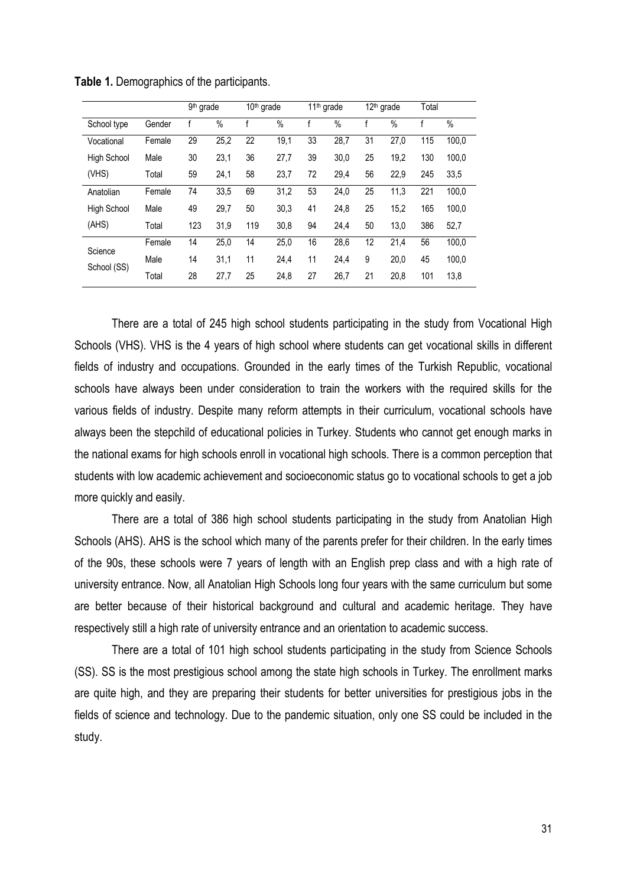|                        |        | 9 <sup>th</sup> grade |      | $10th$ grade |      | 11 <sup>th</sup> grade |      | 12 <sup>th</sup> grade |      | Total |       |
|------------------------|--------|-----------------------|------|--------------|------|------------------------|------|------------------------|------|-------|-------|
| School type            | Gender |                       | %    |              | $\%$ |                        | %    |                        | $\%$ |       | $\%$  |
| Vocational             | Female | 29                    | 25,2 | 22           | 19,1 | 33                     | 28,7 | 31                     | 27,0 | 115   | 100,0 |
| <b>High School</b>     | Male   | 30                    | 23,1 | 36           | 27,7 | 39                     | 30,0 | 25                     | 19,2 | 130   | 100,0 |
| (VHS)                  | Total  | 59                    | 24,1 | 58           | 23,7 | 72                     | 29,4 | 56                     | 22,9 | 245   | 33,5  |
| Anatolian              | Female | 74                    | 33,5 | 69           | 31,2 | 53                     | 24,0 | 25                     | 11,3 | 221   | 100,0 |
| <b>High School</b>     | Male   | 49                    | 29,7 | 50           | 30,3 | 41                     | 24,8 | 25                     | 15,2 | 165   | 100,0 |
| (AHS)                  | Total  | 123                   | 31,9 | 119          | 30,8 | 94                     | 24,4 | 50                     | 13,0 | 386   | 52,7  |
| Science<br>School (SS) | Female | 14                    | 25,0 | 14           | 25,0 | 16                     | 28,6 | 12                     | 21,4 | 56    | 100,0 |
|                        | Male   | 14                    | 31,1 | 11           | 24,4 | 11                     | 24,4 | 9                      | 20,0 | 45    | 100,0 |
|                        | Total  | 28                    | 27,7 | 25           | 24,8 | 27                     | 26,7 | 21                     | 20,8 | 101   | 13,8  |

Table 1. Demographics of the participants.

There are a total of 245 high school students participating in the study from Vocational High Schools (VHS). VHS is the 4 years of high school where students can get vocational skills in different fields of industry and occupations. Grounded in the early times of the Turkish Republic, vocational schools have always been under consideration to train the workers with the required skills for the various fields of industry. Despite many reform attempts in their curriculum, vocational schools have always been the stepchild of educational policies in Turkey. Students who cannot get enough marks in the national exams for high schools enroll in vocational high schools. There is a common perception that students with low academic achievement and socioeconomic status go to vocational schools to get a job more quickly and easily.

There are a total of 386 high school students participating in the study from Anatolian High Schools (AHS). AHS is the school which many of the parents prefer for their children. In the early times of the 90s, these schools were 7 years of length with an English prep class and with a high rate of university entrance. Now, all Anatolian High Schools long four years with the same curriculum but some are better because of their historical background and cultural and academic heritage. They have respectively still a high rate of university entrance and an orientation to academic success.

There are a total of 101 high school students participating in the study from Science Schools (SS). SS is the most prestigious school among the state high schools in Turkey. The enrollment marks are quite high, and they are preparing their students for better universities for prestigious jobs in the fields of science and technology. Due to the pandemic situation, only one SS could be included in the study.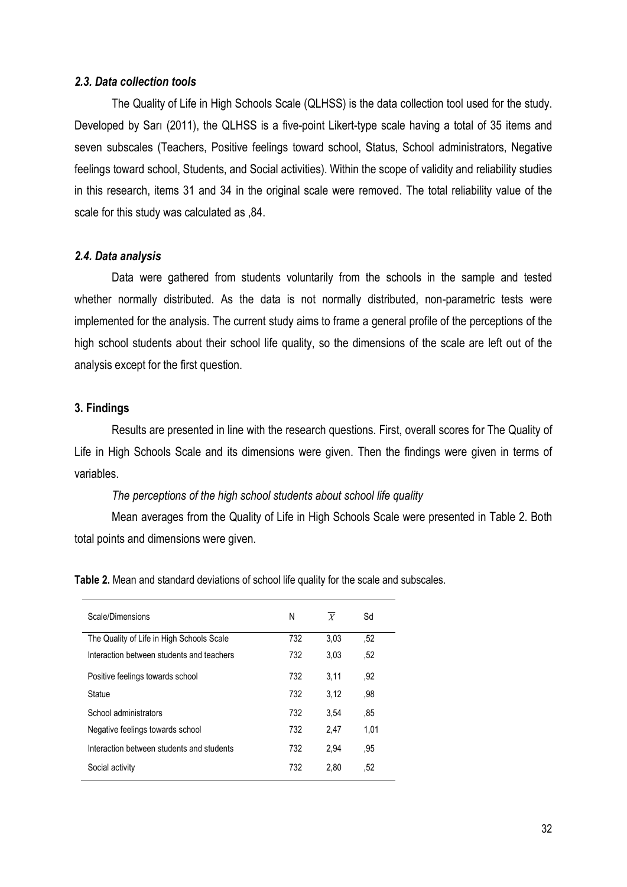#### 2.3. Data collection tools

The Quality of Life in High Schools Scale (QLHSS) is the data collection tool used for the study. Developed by Sarı (2011), the QLHSS is a five-point Likert-type scale having a total of 35 items and seven subscales (Teachers, Positive feelings toward school, Status, School administrators, Negative feelings toward school, Students, and Social activities). Within the scope of validity and reliability studies in this research, items 31 and 34 in the original scale were removed. The total reliability value of the scale for this study was calculated as ,84.

#### 2.4. Data analysis

Data were gathered from students voluntarily from the schools in the sample and tested whether normally distributed. As the data is not normally distributed, non-parametric tests were implemented for the analysis. The current study aims to frame a general profile of the perceptions of the high school students about their school life quality, so the dimensions of the scale are left out of the analysis except for the first question.

## 3. Findings

Results are presented in line with the research questions. First, overall scores for The Quality of Life in High Schools Scale and its dimensions were given. Then the findings were given in terms of variables.

#### The perceptions of the high school students about school life quality

Mean averages from the Quality of Life in High Schools Scale were presented in Table 2. Both total points and dimensions were given.

Table 2. Mean and standard deviations of school life quality for the scale and subscales.

| Scale/Dimensions                          | N   | $\boldsymbol{X}$ | Sd   |
|-------------------------------------------|-----|------------------|------|
| The Quality of Life in High Schools Scale | 732 | 3.03             | .52  |
| Interaction between students and teachers | 732 | 3.03             | ,52  |
| Positive feelings towards school          | 732 | 3,11             | .92  |
| Statue                                    | 732 | 3.12             | .98  |
| School administrators                     | 732 | 3.54             | .85  |
| Negative feelings towards school          | 732 | 2.47             | 1,01 |
| Interaction between students and students | 732 | 2.94             | .95  |
| Social activity                           | 732 | 2,80             | .52  |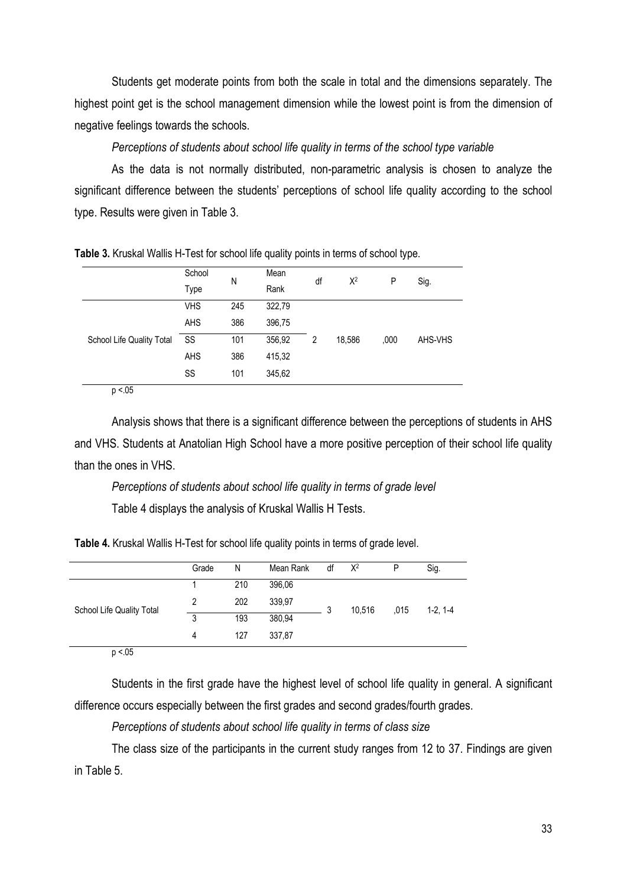Students get moderate points from both the scale in total and the dimensions separately. The highest point get is the school management dimension while the lowest point is from the dimension of negative feelings towards the schools.

Perceptions of students about school life quality in terms of the school type variable

As the data is not normally distributed, non-parametric analysis is chosen to analyze the significant difference between the students' perceptions of school life quality according to the school type. Results were given in Table 3.

|                           |            |     | . .    |    |        | . .  |         |  |  |
|---------------------------|------------|-----|--------|----|--------|------|---------|--|--|
|                           | School     | N   | Mean   | df | $X^2$  | P    | Sig.    |  |  |
|                           | Type       |     | Rank   |    |        |      |         |  |  |
|                           | <b>VHS</b> | 245 | 322,79 |    |        | ,000 |         |  |  |
|                           | AHS        | 386 | 396,75 |    |        |      |         |  |  |
| School Life Quality Total | SS         | 101 | 356,92 | 2  | 18,586 |      | AHS-VHS |  |  |
|                           | AHS        | 386 | 415,32 |    |        |      |         |  |  |
|                           | SS         | 101 | 345,62 |    |        |      |         |  |  |

Table 3. Kruskal Wallis H-Test for school life quality points in terms of school type.

 $p < 0.05$ 

Analysis shows that there is a significant difference between the perceptions of students in AHS and VHS. Students at Anatolian High School have a more positive perception of their school life quality than the ones in VHS.

Perceptions of students about school life quality in terms of grade level Table 4 displays the analysis of Kruskal Wallis H Tests.

Table 4. Kruskal Wallis H-Test for school life quality points in terms of grade level.

|                           | Grade | N   | Mean Rank | df     | $X^2$ | P    | Sig.      |  |
|---------------------------|-------|-----|-----------|--------|-------|------|-----------|--|
|                           |       | 210 | 396,06    |        |       | ,015 |           |  |
| School Life Quality Total | 2     | 202 | 339,97    | 10,516 |       |      | $1-2.1-4$ |  |
|                           | 3     | 193 | 380,94    |        |       |      |           |  |
|                           | 4     | 127 | 337,87    |        |       |      |           |  |
| $-$                       |       |     |           |        |       |      |           |  |

 $p < 0.05$ 

Students in the first grade have the highest level of school life quality in general. A significant difference occurs especially between the first grades and second grades/fourth grades.

Perceptions of students about school life quality in terms of class size

The class size of the participants in the current study ranges from 12 to 37. Findings are given in Table 5.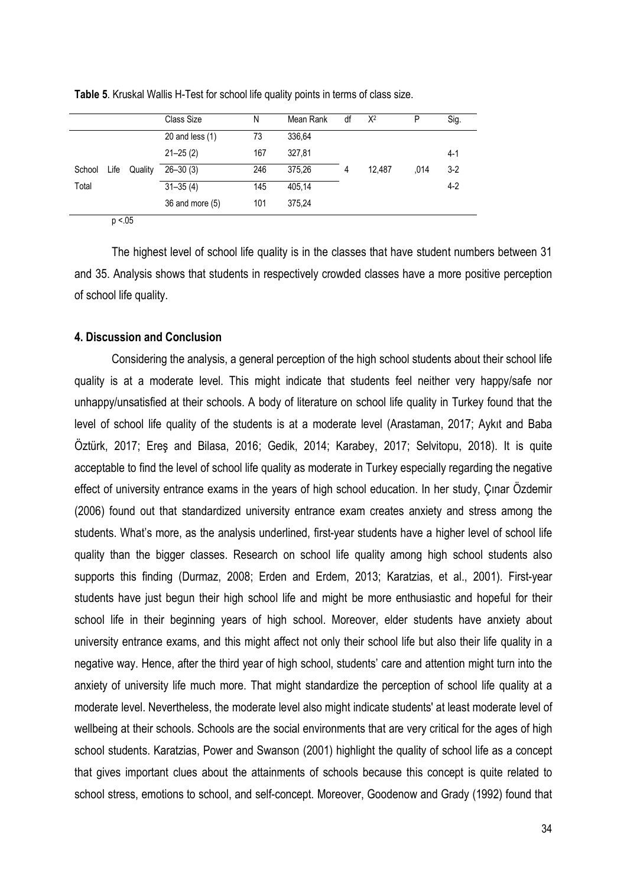|                |         | Class Size        | N   | Mean Rank | df | $X^2$  | P    | Sig.    |
|----------------|---------|-------------------|-----|-----------|----|--------|------|---------|
|                |         | 20 and less $(1)$ | 73  | 336,64    |    |        |      |         |
|                |         | $21 - 25(2)$      | 167 | 327,81    |    |        |      | $4 - 1$ |
| Life<br>School | Quality | $26 - 30(3)$      | 246 | 375,26    | 4  | 12.487 | .014 | $3-2$   |
| Total          |         | $31 - 35(4)$      | 145 | 405,14    |    |        |      | $4-2$   |
|                |         | 36 and more (5)   | 101 | 375,24    |    |        |      |         |

Table 5. Kruskal Wallis H-Test for school life quality points in terms of class size.

 $p < 0.05$ 

The highest level of school life quality is in the classes that have student numbers between 31 and 35. Analysis shows that students in respectively crowded classes have a more positive perception of school life quality.

# 4. Discussion and Conclusion

Considering the analysis, a general perception of the high school students about their school life quality is at a moderate level. This might indicate that students feel neither very happy/safe nor unhappy/unsatisfied at their schools. A body of literature on school life quality in Turkey found that the level of school life quality of the students is at a moderate level (Arastaman, 2017; Aykıt and Baba Öztürk, 2017; Ereş and Bilasa, 2016; Gedik, 2014; Karabey, 2017; Selvitopu, 2018). It is quite acceptable to find the level of school life quality as moderate in Turkey especially regarding the negative effect of university entrance exams in the years of high school education. In her study, Çınar Özdemir (2006) found out that standardized university entrance exam creates anxiety and stress among the students. What's more, as the analysis underlined, first-year students have a higher level of school life quality than the bigger classes. Research on school life quality among high school students also supports this finding (Durmaz, 2008; Erden and Erdem, 2013; Karatzias, et al., 2001). First-year students have just begun their high school life and might be more enthusiastic and hopeful for their school life in their beginning years of high school. Moreover, elder students have anxiety about university entrance exams, and this might affect not only their school life but also their life quality in a negative way. Hence, after the third year of high school, students' care and attention might turn into the anxiety of university life much more. That might standardize the perception of school life quality at a moderate level. Nevertheless, the moderate level also might indicate students' at least moderate level of wellbeing at their schools. Schools are the social environments that are very critical for the ages of high school students. Karatzias, Power and Swanson (2001) highlight the quality of school life as a concept that gives important clues about the attainments of schools because this concept is quite related to school stress, emotions to school, and self-concept. Moreover, Goodenow and Grady (1992) found that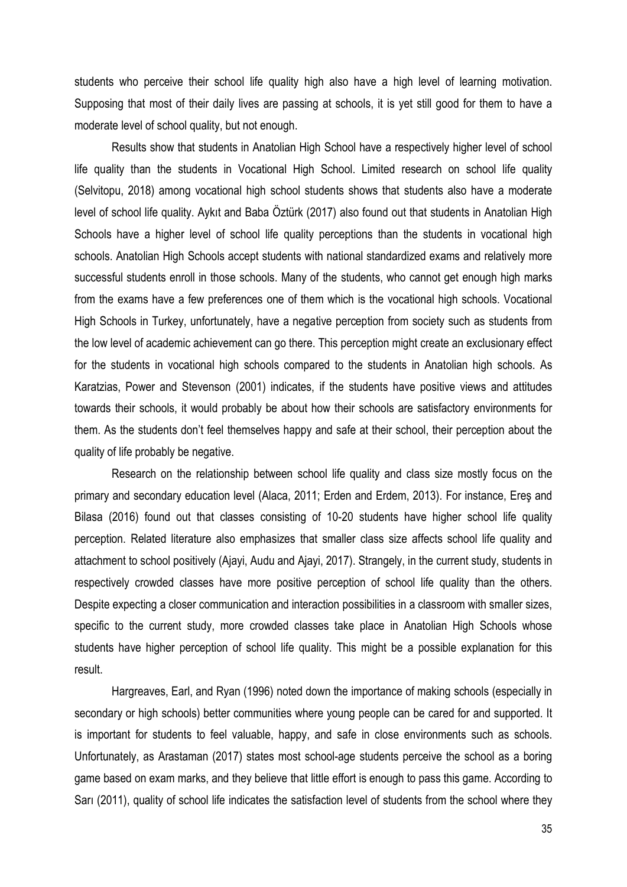students who perceive their school life quality high also have a high level of learning motivation. Supposing that most of their daily lives are passing at schools, it is yet still good for them to have a moderate level of school quality, but not enough.

Results show that students in Anatolian High School have a respectively higher level of school life quality than the students in Vocational High School. Limited research on school life quality (Selvitopu, 2018) among vocational high school students shows that students also have a moderate level of school life quality. Aykıt and Baba Öztürk (2017) also found out that students in Anatolian High Schools have a higher level of school life quality perceptions than the students in vocational high schools. Anatolian High Schools accept students with national standardized exams and relatively more successful students enroll in those schools. Many of the students, who cannot get enough high marks from the exams have a few preferences one of them which is the vocational high schools. Vocational High Schools in Turkey, unfortunately, have a negative perception from society such as students from the low level of academic achievement can go there. This perception might create an exclusionary effect for the students in vocational high schools compared to the students in Anatolian high schools. As Karatzias, Power and Stevenson (2001) indicates, if the students have positive views and attitudes towards their schools, it would probably be about how their schools are satisfactory environments for them. As the students don't feel themselves happy and safe at their school, their perception about the quality of life probably be negative.

Research on the relationship between school life quality and class size mostly focus on the primary and secondary education level (Alaca, 2011; Erden and Erdem, 2013). For instance, Ereş and Bilasa (2016) found out that classes consisting of 10-20 students have higher school life quality perception. Related literature also emphasizes that smaller class size affects school life quality and attachment to school positively (Ajayi, Audu and Ajayi, 2017). Strangely, in the current study, students in respectively crowded classes have more positive perception of school life quality than the others. Despite expecting a closer communication and interaction possibilities in a classroom with smaller sizes, specific to the current study, more crowded classes take place in Anatolian High Schools whose students have higher perception of school life quality. This might be a possible explanation for this result.

Hargreaves, Earl, and Ryan (1996) noted down the importance of making schools (especially in secondary or high schools) better communities where young people can be cared for and supported. It is important for students to feel valuable, happy, and safe in close environments such as schools. Unfortunately, as Arastaman (2017) states most school-age students perceive the school as a boring game based on exam marks, and they believe that little effort is enough to pass this game. According to Sarı (2011), quality of school life indicates the satisfaction level of students from the school where they

35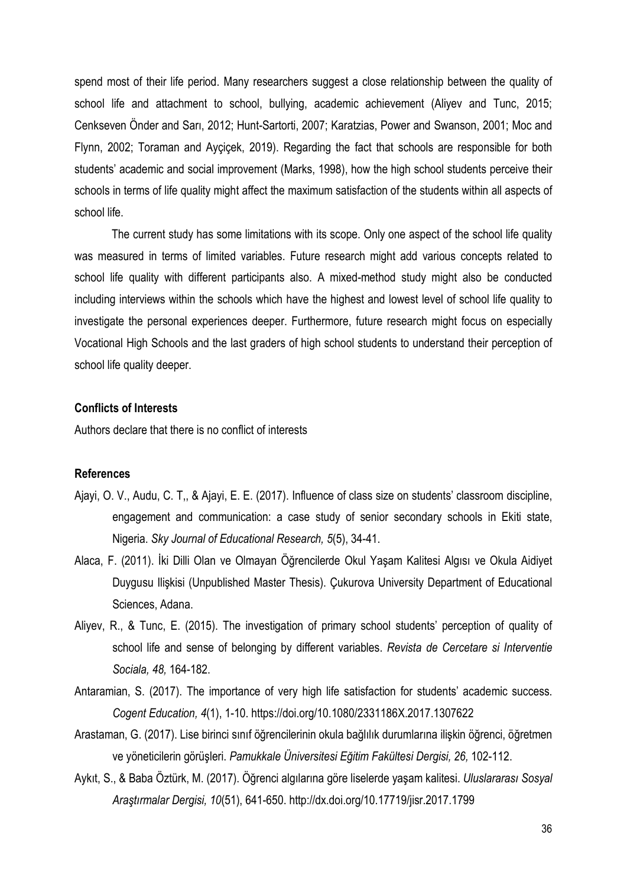spend most of their life period. Many researchers suggest a close relationship between the quality of school life and attachment to school, bullying, academic achievement (Aliyev and Tunc, 2015; Cenkseven Önder and Sarı, 2012; Hunt-Sartorti, 2007; Karatzias, Power and Swanson, 2001; Moc and Flynn, 2002; Toraman and Ayçiçek, 2019). Regarding the fact that schools are responsible for both students' academic and social improvement (Marks, 1998), how the high school students perceive their schools in terms of life quality might affect the maximum satisfaction of the students within all aspects of school life.

The current study has some limitations with its scope. Only one aspect of the school life quality was measured in terms of limited variables. Future research might add various concepts related to school life quality with different participants also. A mixed-method study might also be conducted including interviews within the schools which have the highest and lowest level of school life quality to investigate the personal experiences deeper. Furthermore, future research might focus on especially Vocational High Schools and the last graders of high school students to understand their perception of school life quality deeper.

## Conflicts of Interests

Authors declare that there is no conflict of interests

## References

- Ajayi, O. V., Audu, C. T,, & Ajayi, E. E. (2017). Influence of class size on students' classroom discipline, engagement and communication: a case study of senior secondary schools in Ekiti state, Nigeria. Sky Journal of Educational Research, 5(5), 34-41.
- Alaca, F. (2011). İki Dilli Olan ve Olmayan Öğrencilerde Okul Yaşam Kalitesi Algısı ve Okula Aidiyet Duygusu Ilişkisi (Unpublished Master Thesis). Çukurova University Department of Educational Sciences, Adana.
- Aliyev, R., & Tunc, E. (2015). The investigation of primary school students' perception of quality of school life and sense of belonging by different variables. Revista de Cercetare si Interventie Sociala, 48, 164-182.
- Antaramian, S. (2017). The importance of very high life satisfaction for students' academic success. Cogent Education, 4(1), 1-10. https://doi.org/10.1080/2331186X.2017.1307622
- Arastaman, G. (2017). Lise birinci sınıf öğrencilerinin okula bağlılık durumlarına ilişkin öğrenci, öğretmen ve yöneticilerin görüşleri. Pamukkale Üniversitesi Eğitim Fakültesi Dergisi, 26, 102-112.
- Aykıt, S., & Baba Öztürk, M. (2017). Öğrenci algılarına göre liselerde yaşam kalitesi. Uluslararası Sosyal Araştırmalar Dergisi, 10(51), 641-650. http://dx.doi.org/10.17719/jisr.2017.1799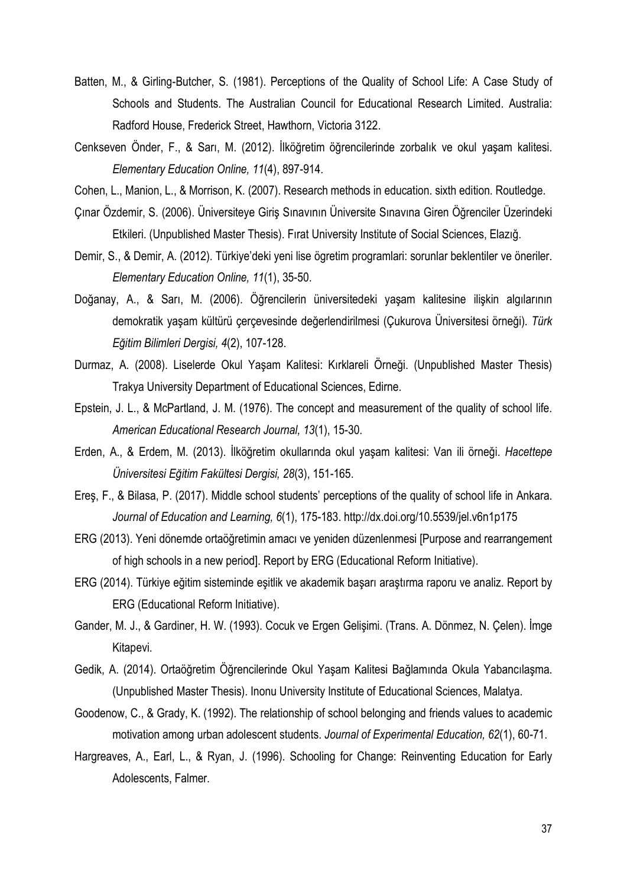- Batten, M., & Girling-Butcher, S. (1981). Perceptions of the Quality of School Life: A Case Study of Schools and Students. The Australian Council for Educational Research Limited. Australia: Radford House, Frederick Street, Hawthorn, Victoria 3122.
- Cenkseven Önder, F., & Sarı, M. (2012). İlköğretim öğrencilerinde zorbalık ve okul yaşam kalitesi. Elementary Education Online, 11(4), 897-914.
- Cohen, L., Manion, L., & Morrison, K. (2007). Research methods in education. sixth edition. Routledge.
- Çınar Özdemir, S. (2006). Üniversiteye Giriş Sınavının Üniversite Sınavına Giren Öğrenciler Üzerindeki Etkileri. (Unpublished Master Thesis). Fırat University Institute of Social Sciences, Elazığ.
- Demir, S., & Demir, A. (2012). Türkiye'deki yeni lise ögretim programlari: sorunlar beklentiler ve öneriler. Elementary Education Online, 11(1), 35-50.
- Doğanay, A., & Sarı, M. (2006). Öğrencilerin üniversitedeki yaşam kalitesine ilişkin algılarının demokratik yaşam kültürü cercevesinde değerlendirilmesi (Cukurova Üniversitesi örneği). Türk Eğitim Bilimleri Dergisi, 4(2), 107-128.
- Durmaz, A. (2008). Liselerde Okul Yaşam Kalitesi: Kırklareli Örneği. (Unpublished Master Thesis) Trakya University Department of Educational Sciences, Edirne.
- Epstein, J. L., & McPartland, J. M. (1976). The concept and measurement of the quality of school life. American Educational Research Journal, 13(1), 15-30.
- Erden, A., & Erdem, M. (2013). İlköğretim okullarında okul yaşam kalitesi: Van ili örneği. Hacettepe Üniversitesi Eğitim Fakültesi Dergisi, 28(3), 151-165.
- Ereş, F., & Bilasa, P. (2017). Middle school students' perceptions of the quality of school life in Ankara. Journal of Education and Learning, 6(1), 175-183. http://dx.doi.org/10.5539/jel.v6n1p175
- ERG (2013). Yeni dönemde ortaöğretimin amacı ve yeniden düzenlenmesi [Purpose and rearrangement of high schools in a new period]. Report by ERG (Educational Reform Initiative).
- ERG (2014). Türkiye eğitim sisteminde eşitlik ve akademik başarı araştırma raporu ve analiz. Report by ERG (Educational Reform Initiative).
- Gander, M. J., & Gardiner, H. W. (1993). Cocuk ve Ergen Gelişimi. (Trans. A. Dönmez, N. Çelen). İmge Kitapevi.
- Gedik, A. (2014). Ortaöğretim Öğrencilerinde Okul Yaşam Kalitesi Bağlamında Okula Yabancılaşma. (Unpublished Master Thesis). Inonu University Institute of Educational Sciences, Malatya.
- Goodenow, C., & Grady, K. (1992). The relationship of school belonging and friends values to academic motivation among urban adolescent students. Journal of Experimental Education, 62(1), 60-71.
- Hargreaves, A., Earl, L., & Ryan, J. (1996). Schooling for Change: Reinventing Education for Early Adolescents, Falmer.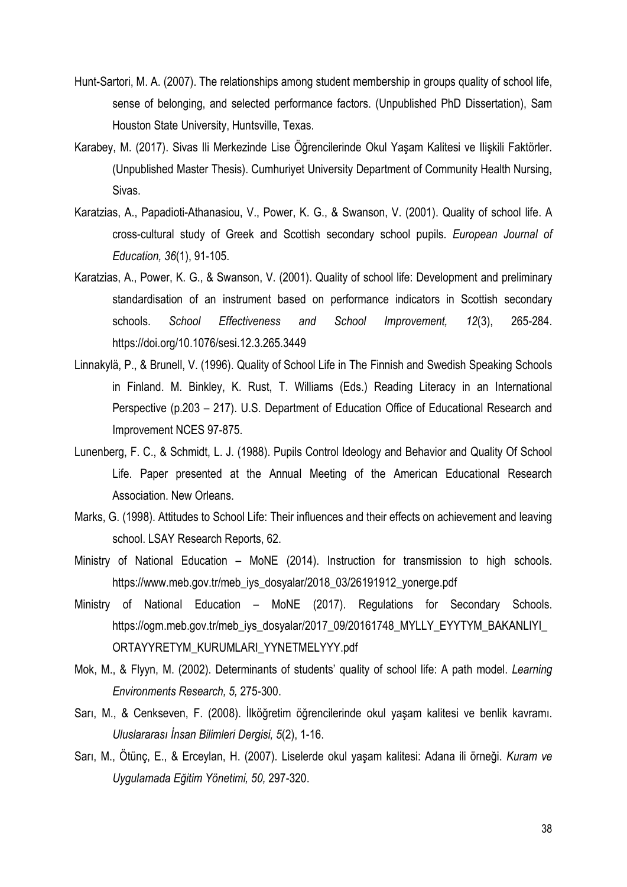- Hunt-Sartori, M. A. (2007). The relationships among student membership in groups quality of school life, sense of belonging, and selected performance factors. (Unpublished PhD Dissertation), Sam Houston State University, Huntsville, Texas.
- Karabey, M. (2017). Sivas Ili Merkezinde Lise Öğrencilerinde Okul Yaşam Kalitesi ve Ilişkili Faktörler. (Unpublished Master Thesis). Cumhuriyet University Department of Community Health Nursing, Sivas.
- Karatzias, A., Papadioti-Athanasiou, V., Power, K. G., & Swanson, V. (2001). Quality of school life. A cross-cultural study of Greek and Scottish secondary school pupils. European Journal of Education, 36(1), 91-105.
- Karatzias, A., Power, K. G., & Swanson, V. (2001). Quality of school life: Development and preliminary standardisation of an instrument based on performance indicators in Scottish secondary schools. School Effectiveness and School Improvement, 12(3), 265-284. https://doi.org/10.1076/sesi.12.3.265.3449
- Linnakylä, P., & Brunell, V. (1996). Quality of School Life in The Finnish and Swedish Speaking Schools in Finland. M. Binkley, K. Rust, T. Williams (Eds.) Reading Literacy in an International Perspective (p.203 – 217). U.S. Department of Education Office of Educational Research and Improvement NCES 97-875.
- Lunenberg, F. C., & Schmidt, L. J. (1988). Pupils Control Ideology and Behavior and Quality Of School Life. Paper presented at the Annual Meeting of the American Educational Research Association. New Orleans.
- Marks, G. (1998). Attitudes to School Life: Their influences and their effects on achievement and leaving school. LSAY Research Reports, 62.
- Ministry of National Education MoNE (2014). Instruction for transmission to high schools. https://www.meb.gov.tr/meb\_iys\_dosyalar/2018\_03/26191912\_yonerge.pdf
- Ministry of National Education MoNE (2017). Regulations for Secondary Schools. https://ogm.meb.gov.tr/meb\_iys\_dosyalar/2017\_09/20161748\_MYLLY\_EYYTYM\_BAKANLIYI\_ ORTAYYRETYM\_KURUMLARI\_YYNETMELYYY.pdf
- Mok, M., & Flyyn, M. (2002). Determinants of students' quality of school life: A path model. Learning Environments Research, 5, 275-300.
- Sarı, M., & Cenkseven, F. (2008). İlköğretim öğrencilerinde okul yaşam kalitesi ve benlik kavramı. Uluslararası İnsan Bilimleri Dergisi, 5(2), 1-16.
- Sarı, M., Ötünç, E., & Erceylan, H. (2007). Liselerde okul yaşam kalitesi: Adana ili örneği. Kuram ve Uygulamada Eğitim Yönetimi, 50, 297-320.